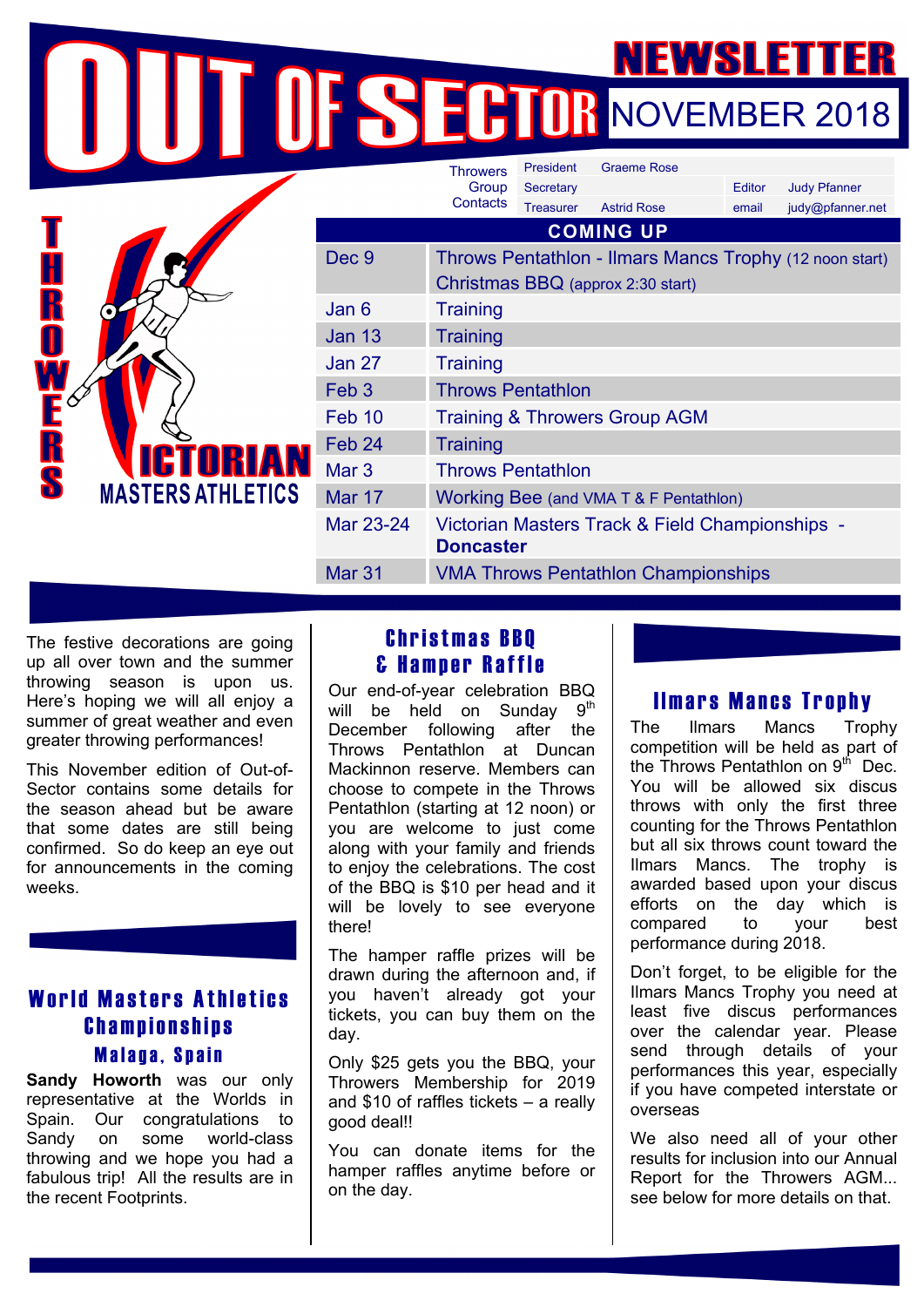NOVEMBER 2018

|                                                       |                  | <b>Throwers</b>                                                     | President        | <b>Graeme Rose</b>                                      |        |                     |
|-------------------------------------------------------|------------------|---------------------------------------------------------------------|------------------|---------------------------------------------------------|--------|---------------------|
|                                                       |                  | Group<br>Contacts                                                   | Secretary        |                                                         | Editor | <b>Judy Pfanner</b> |
|                                                       |                  |                                                                     | <b>Treasurer</b> | <b>Astrid Rose</b>                                      | email  | judy@pfanner.net    |
| R<br>S<br><b>ICTORIAN</b><br><b>MASTERS ATHLETICS</b> | <b>COMING UP</b> |                                                                     |                  |                                                         |        |                     |
|                                                       | Dec 9            |                                                                     |                  | Throws Pentathlon - Ilmars Mancs Trophy (12 noon start) |        |                     |
|                                                       |                  | Christmas BBQ (approx 2:30 start)                                   |                  |                                                         |        |                     |
|                                                       | Jan 6            | <b>Training</b>                                                     |                  |                                                         |        |                     |
|                                                       | <b>Jan 13</b>    | <b>Training</b>                                                     |                  |                                                         |        |                     |
|                                                       | <b>Jan 27</b>    | <b>Training</b>                                                     |                  |                                                         |        |                     |
|                                                       | Feb <sub>3</sub> | <b>Throws Pentathlon</b>                                            |                  |                                                         |        |                     |
|                                                       | Feb 10           | <b>Training &amp; Throwers Group AGM</b>                            |                  |                                                         |        |                     |
|                                                       | Feb 24           | <b>Training</b>                                                     |                  |                                                         |        |                     |
|                                                       | Mar <sub>3</sub> | <b>Throws Pentathlon</b>                                            |                  |                                                         |        |                     |
|                                                       | <b>Mar 17</b>    | Working Bee (and VMA T & F Pentathlon)                              |                  |                                                         |        |                     |
|                                                       | Mar 23-24        | Victorian Masters Track & Field Championships -<br><b>Doncaster</b> |                  |                                                         |        |                     |
|                                                       | Mar 31           | <b>VMA Throws Pentathlon Championships</b>                          |                  |                                                         |        |                     |
|                                                       |                  |                                                                     |                  |                                                         |        |                     |

The festive decorations are going up all over town and the summer throwing season is upon us. Here's hoping we will all enjoy a summer of great weather and even greater throwing performances!

This November edition of Out-of-Sector contains some details for the season ahead but be aware that some dates are still being confirmed. So do keep an eye out for announcements in the coming weeks.

# World Masters Athletics Championships Malaga, Spain

**Sandy Howorth** was our only representative at the Worlds in Spain. Our congratulations to Sandy on some world-class throwing and we hope you had a fabulous trip! All the results are in the recent Footprints.

# Christmas BBQ & Hamper Raffle

Our end-of-year celebration BBQ will be held on Sunday  $9<sup>th</sup>$ December following after the Throws Pentathlon at Duncan Mackinnon reserve. Members can choose to compete in the Throws Pentathlon (starting at 12 noon) or you are welcome to just come along with your family and friends to enjoy the celebrations. The cost of the BBQ is \$10 per head and it will be lovely to see everyone there!

The hamper raffle prizes will be drawn during the afternoon and, if you haven't already got your tickets, you can buy them on the day.

Only \$25 gets you the BBQ, your Throwers Membership for 2019 and \$10 of raffles tickets – a really good deal!!

You can donate items for the hamper raffles anytime before or on the day.

## Ilmars Mancs Trophy

The Ilmars Mancs Trophy competition will be held as part of the Throws Pentathlon on  $9<sup>th</sup>$  Dec. You will be allowed six discus throws with only the first three counting for the Throws Pentathlon but all six throws count toward the Ilmars Mancs. The trophy is awarded based upon your discus efforts on the day which is compared to your best performance during 2018.

Don't forget, to be eligible for the Ilmars Mancs Trophy you need at least five discus performances over the calendar year. Please send through details of your performances this year, especially if you have competed interstate or overseas

We also need all of your other results for inclusion into our Annual Report for the Throwers AGM... see below for more details on that.